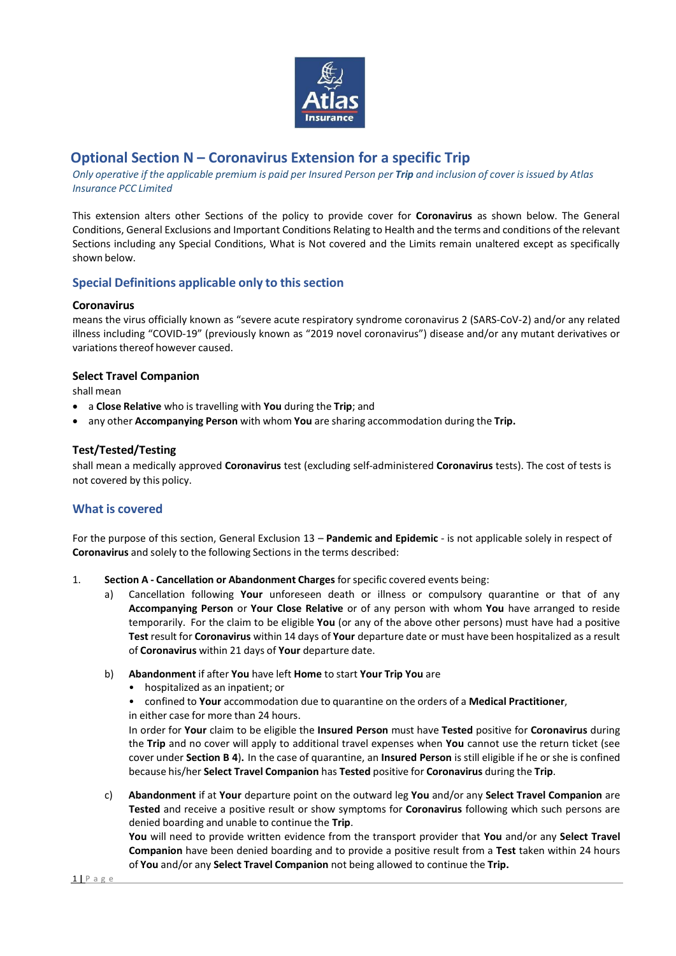

# **Optional Section N – Coronavirus Extension for a specific Trip**

Only operative if the applicable premium is paid per Insured Person per Trip and inclusion of cover is issued by Atlas *Insurance PCC Limited*

This extension alters other Sections of the policy to provide cover for **Coronavirus** as shown below. The General Conditions, General Exclusions and Important Conditions Relating to Health and the terms and conditions of the relevant Sections including any Special Conditions, What is Not covered and the Limits remain unaltered except as specifically shown below.

# **Special Definitions applicable only to thissection**

#### **Coronavirus**

means the virus officially known as "severe acute respiratory syndrome coronavirus 2 (SARS-CoV-2) and/or any related illness including "COVID-19" (previously known as "2019 novel coronavirus") disease and/or any mutant derivatives or variations thereof however caused.

#### **Select Travel Companion**

shall mean

- a **Close Relative** who is travelling with **You** during the **Trip**; and
- any other **Accompanying Person** with whom **You** are sharing accommodation during the **Trip.**

## **Test/Tested/Testing**

shall mean a medically approved **Coronavirus** test (excluding self-administered **Coronavirus** tests). The cost of tests is not covered by this policy.

## **What is covered**

For the purpose of this section, General Exclusion 13 – **Pandemic and Epidemic** - is not applicable solely in respect of **Coronavirus** and solely to the following Sections in the terms described:

- 1. **Section A - Cancellation or Abandonment Charges** forspecific covered events being:
	- a) Cancellation following **Your** unforeseen death or illness or compulsory quarantine or that of any **Accompanying Person** or **Your Close Relative** or of any person with whom **You** have arranged to reside temporarily. For the claim to be eligible **You** (or any of the above other persons) must have had a positive **Test** result for **Coronavirus** within 14 days of **Your** departure date or must have been hospitalized as a result of **Coronavirus** within 21 days of **Your** departure date.
	- b) **Abandonment** if after **You** have left **Home** to start **Your Trip You** are
		- hospitalized as an inpatient; or
		- confined to **Your** accommodation due to quarantine on the orders of a **Medical Practitioner**,
		- in either case for more than 24 hours.

In order for **Your** claim to be eligible the **Insured Person** must have **Tested** positive for **Coronavirus** during the **Trip** and no cover will apply to additional travel expenses when **You** cannot use the return ticket (see cover under **Section B 4**)**.** In the case of quarantine, an **Insured Person** is still eligible if he or she is confined because his/her **Select Travel Companion** has **Tested** positive for **Coronavirus** during the **Trip**.

c) **Abandonment** if at **Your** departure point on the outward leg **You** and/or any **Select Travel Companion** are **Tested** and receive a positive result or show symptoms for **Coronavirus** following which such persons are denied boarding and unable to continue the **Trip**. **You** will need to provide written evidence from the transport provider that **You** and/or any **Select Travel Companion** have been denied boarding and to provide a positive result from a **Test** taken within 24 hours of **You** and/or any **Select Travel Companion** not being allowed to continue the **Trip.**